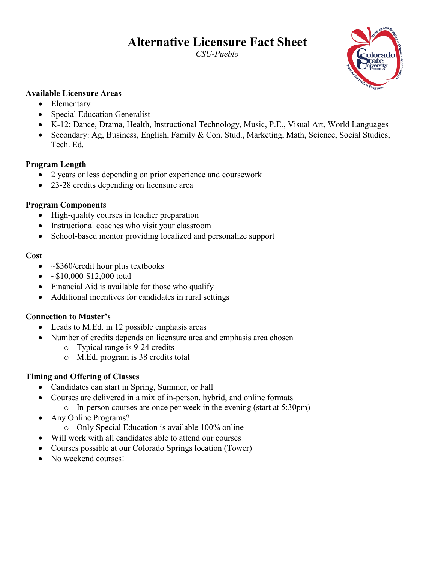# **Alternative Licensure Fact Sheet**

*CSU-Pueblo* 



#### **Available Licensure Areas**

- Elementary
- Special Education Generalist
- K-12: Dance, Drama, Health, Instructional Technology, Music, P.E., Visual Art, World Languages
- Secondary: Ag, Business, English, Family & Con. Stud., Marketing, Math, Science, Social Studies, Tech. Ed.

#### **Program Length**

- 2 years or less depending on prior experience and coursework
- 23-28 credits depending on licensure area

#### **Program Components**

- High-quality courses in teacher preparation
- Instructional coaches who visit your classroom
- School-based mentor providing localized and personalize support

#### **Cost**

- $\sim$ \$360/credit hour plus textbooks
- $~\sim$ \$10,000-\$12,000 total
- Financial Aid is available for those who qualify
- Additional incentives for candidates in rural settings

## **Connection to Master's**

- Leads to M.Ed. in 12 possible emphasis areas
- Number of credits depends on licensure area and emphasis area chosen
	- o Typical range is 9-24 credits
	- o M.Ed. program is 38 credits total

## **Timing and Offering of Classes**

- Candidates can start in Spring, Summer, or Fall
- Courses are delivered in a mix of in-person, hybrid, and online formats o In-person courses are once per week in the evening (start at 5:30pm)
- Any Online Programs?
	- o Only Special Education is available 100% online
- Will work with all candidates able to attend our courses
- Courses possible at our Colorado Springs location (Tower)
- No weekend courses!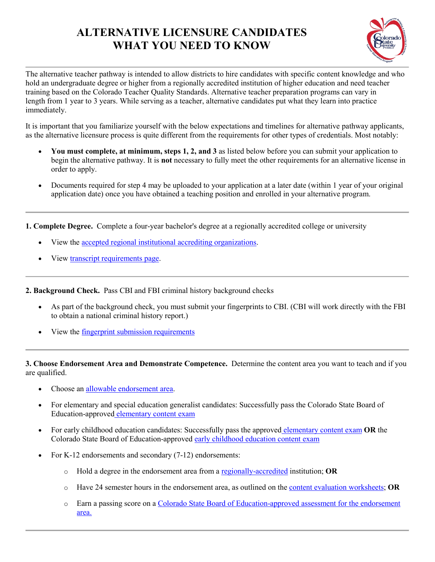## **ALTERNATIVE LICENSURE CANDIDATES WHAT YOU NEED TO KNOW**



The alternative teacher pathway is intended to allow districts to hire candidates with specific content knowledge and who hold an undergraduate degree or higher from a regionally accredited institution of higher education and need teacher training based on the Colorado Teacher Quality Standards. Alternative teacher preparation programs can vary in length from 1 year to 3 years. While serving as a teacher, alternative candidates put what they learn into practice immediately.

It is important that you familiarize yourself with the below expectations and timelines for alternative pathway applicants, as the alternative licensure process is quite different from the requirements for other types of credentials. Most notably:

- **You must complete, at minimum, steps 1, 2, and 3** as listed below before you can submit your application to begin the alternative pathway. It is **not** necessary to fully meet the other requirements for an alternative license in order to apply.
- Documents required for step 4 may be uploaded to your application at a later date (within 1 year of your original application date) once you have obtained a teaching position and enrolled in your alternative program.

**1. Complete Degree.** Complete a four-year bachelor's degree at a regionally accredited college or university

- View the [accepted regional institutional accrediting organizations.](http://www.cde.state.co.us/cdeprof/licensure_institutions)
- View [transcript requirements page.](http://www.cde.state.co.us/cdeprof/transcripts)

**2. Background Check.** Pass CBI and FBI criminal history background checks

- As part of the background check, you must submit your fingerprints to CBI. (CBI will work directly with the FBI to obtain a national criminal history report.)
- View the *fingerprint* submission requirements

**3. Choose Endorsement Area and Demonstrate Competence.** Determine the content area you want to teach and if you are qualified.

- Choose an [allowable endorsement area.](http://www.cde.state.co.us/cdeprof/Licensure_alt_endorsements)
- For elementary and special education generalist candidates: Successfully pass the Colorado State Board of Education-approved [elementary content exam](http://www.cde.state.co.us/cdeprof/endorsementrequirements#additionalrequirements)
- For early childhood education candidates: Successfully pass the approved [elementary content exam](http://www.cde.state.co.us/cdeprof/endorsementrequirements#additionalrequirements) **OR** the Colorado State Board of Education-approved [early childhood education content exam](http://www.cde.state.co.us/cdeprof/endorsementrequirements#degree)
- For K-12 endorsements and secondary (7-12) endorsements:
	- o Hold a degree in the endorsement area from [a regionally-accredited](http://www.cde.state.co.us/cdeprof/licensure_institutions) institution; **OR**
	- o Have 24 semester hours in the endorsement area, as outlined on the [content evaluation worksheets;](http://www.cde.state.co.us/cdeprof/Licensure_alt_endorsements) **OR**
	- o Earn a passing score on a [Colorado State Board of Education-approved assessment for the endorsement](http://www.cde.state.co.us/cdeprof/endorsementrequirements) [area.](http://www.cde.state.co.us/cdeprof/endorsementrequirements)